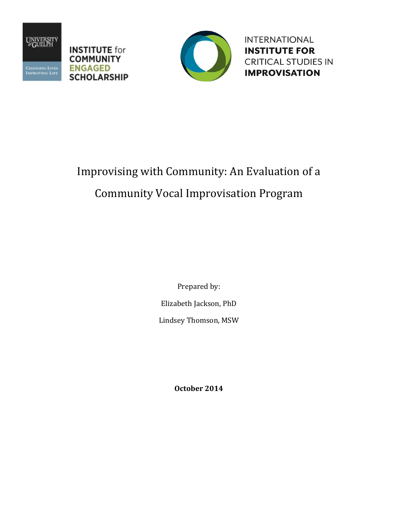





**INTERNATIONAL INSTITUTE FOR CRITICAL STUDIES IN IMPROVISATION** 

# Improvising with Community: An Evaluation of a Community Vocal Improvisation Program

Prepared by: Elizabeth Jackson, PhD Lindsey Thomson, MSW

**October 2014**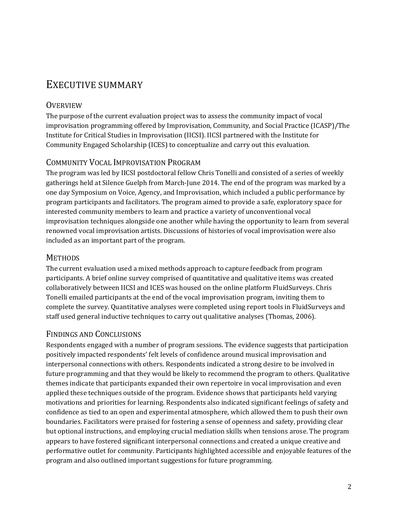# EXECUTIVE SUMMARY

#### **OVERVIEW**

The purpose of the current evaluation project was to assess the community impact of vocal improvisation programming offered by Improvisation, Community, and Social Practice (ICASP)/The Institute for Critical Studies in Improvisation (IICSI). IICSI partnered with the Institute for Community Engaged Scholarship (ICES) to conceptualize and carry out this evaluation.

#### COMMUNITY VOCAL IMPROVISATION PROGRAM

The program was led by IICSI postdoctoral fellow Chris Tonelli and consisted of a series of weekly gatherings held at Silence Guelph from March‐June 2014. The end of the program was marked by a one day Symposium on Voice, Agency, and Improvisation, which included a public performance by program participants and facilitators. The program aimed to provide a safe, exploratory space for interested community members to learn and practice a variety of unconventional vocal improvisation techniques alongside one another while having the opportunity to learn from several renowned vocal improvisation artists. Discussions of histories of vocal improvisation were also included as an important part of the program.

#### **METHODS**

The current evaluation used a mixed methods approach to capture feedback from program participants. A brief online survey comprised of quantitative and qualitative items was created collaboratively between IICSI and ICES was housed on the online platform FluidSurveys. Chris Tonelli emailed participants at the end of the vocal improvisation program, inviting them to complete the survey. Quantitative analyses were completed using report tools in FluidSurveys and staff used general inductive techniques to carry out qualitative analyses (Thomas, 2006).

#### FINDINGS AND CONCLUSIONS

Respondents engaged with a number of program sessions. The evidence suggests that participation positively impacted respondents' felt levels of confidence around musical improvisation and interpersonal connections with others. Respondents indicated a strong desire to be involved in future programming and that they would be likely to recommend the program to others. Qualitative themes indicate that participants expanded their own repertoire in vocal improvisation and even applied these techniques outside of the program. Evidence shows that participants held varying motivations and priorities for learning. Respondents also indicated significant feelings of safety and confidence as tied to an open and experimental atmosphere, which allowed them to push their own boundaries. Facilitators were praised for fostering a sense of openness and safety, providing clear but optional instructions, and employing crucial mediation skills when tensions arose. The program appears to have fostered significant interpersonal connections and created a unique creative and performative outlet for community. Participants highlighted accessible and enjoyable features of the program and also outlined important suggestions for future programming.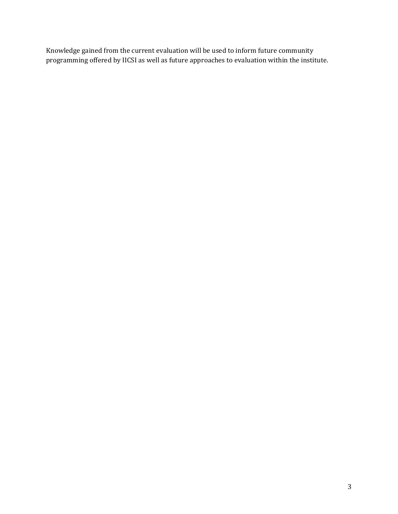Knowledge gained from the current evaluation will be used to inform future community programming offered by IICSI as well as future approaches to evaluation within the institute.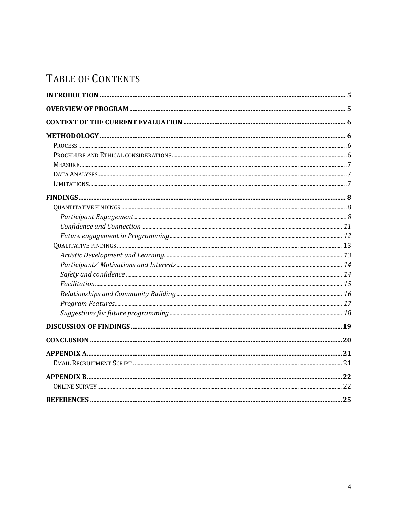# TABLE OF CONTENTS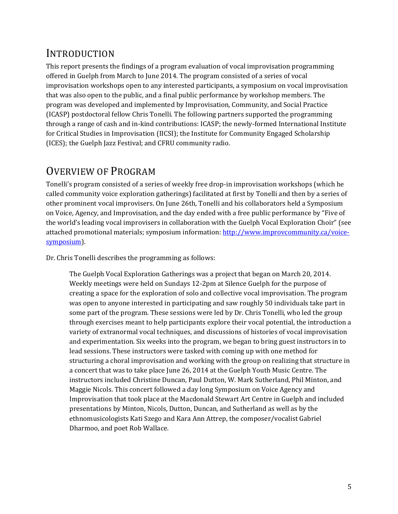# INTRODUCTION

This report presents the findings of a program evaluation of vocal improvisation programming offered in Guelph from March to June 2014. The program consisted of a series of vocal improvisation workshops open to any interested participants, a symposium on vocal improvisation that was also open to the public, and a final public performance by workshop members. The program was developed and implemented by Improvisation, Community, and Social Practice (ICASP) postdoctoral fellow Chris Tonelli. The following partners supported the programming through a range of cash and in‐kind contributions: ICASP; the newly‐formed International Institute for Critical Studies in Improvisation (IICSI); the Institute for Community Engaged Scholarship (ICES); the Guelph Jazz Festival; and CFRU community radio.

# OVERVIEW OF PROGRAM

Tonelli's program consisted of a series of weekly free drop-in improvisation workshops (which he called community voice exploration gatherings) facilitated at first by Tonelli and then by a series of other prominent vocal improvisers. On June 26th, Tonelli and his collaborators held a Symposium on Voice, Agency, and Improvisation, and the day ended with a free public performance by "Five of the world's leading vocal improvisers in collaboration with the Guelph Vocal Exploration Choir" (see attached promotional materials; symposium information: http://www.improvcommunity.ca/voicesymposium).

Dr. Chris Tonelli describes the programming as follows:

The Guelph Vocal Exploration Gatherings was a project that began on March 20, 2014. Weekly meetings were held on Sundays 12‐2pm at Silence Guelph for the purpose of creating a space for the exploration of solo and collective vocal improvisation. The program was open to anyone interested in participating and saw roughly 50 individuals take part in some part of the program. These sessions were led by Dr. Chris Tonelli, who led the group through exercises meant to help participants explore their vocal potential, the introduction a variety of extranormal vocal techniques, and discussions of histories of vocal improvisation and experimentation. Six weeks into the program, we began to bring guest instructors in to lead sessions. These instructors were tasked with coming up with one method for structuring a choral improvisation and working with the group on realizing that structure in a concert that was to take place June 26, 2014 at the Guelph Youth Music Centre. The instructors included Christine Duncan, Paul Dutton, W. Mark Sutherland, Phil Minton, and Maggie Nicols. This concert followed a day long Symposium on Voice Agency and Improvisation that took place at the Macdonald Stewart Art Centre in Guelph and included presentations by Minton, Nicols, Dutton, Duncan, and Sutherland as well as by the ethnomusicologists Kati Szego and Kara Ann Attrep, the composer/vocalist Gabriel Dharmoo, and poet Rob Wallace.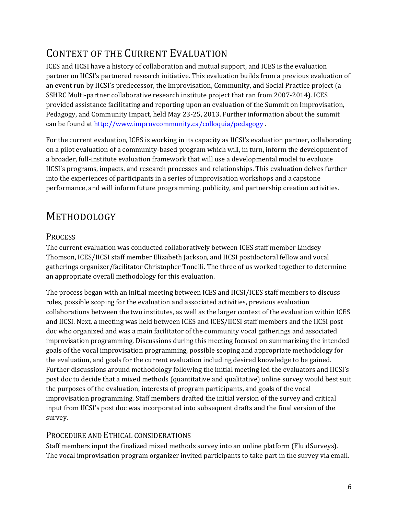# CONTEXT OF THE CURRENT EVALUATION

ICES and IICSI have a history of collaboration and mutual support, and ICES is the evaluation partner on IICSI's partnered research initiative. This evaluation builds from a previous evaluation of an event run by IICSI's predecessor, the Improvisation, Community, and Social Practice project (a SSHRC Multi‐partner collaborative research institute project that ran from 2007‐2014). ICES provided assistance facilitating and reporting upon an evaluation of the Summit on Improvisation, Pedagogy, and Community Impact, held May 23‐25, 2013. Further information about the summit can be found at http://www.improvcommunity.ca/colloquia/pedagogy .

For the current evaluation, ICES is working in its capacity as IICSI's evaluation partner, collaborating on a pilot evaluation of a community‐based program which will, in turn, inform the development of a broader, full‐institute evaluation framework that will use a developmental model to evaluate IICSI's programs, impacts, and research processes and relationships. This evaluation delves further into the experiences of participants in a series of improvisation workshops and a capstone performance, and will inform future programming, publicity, and partnership creation activities.

# METHODOLOGY

### **PROCESS**

The current evaluation was conducted collaboratively between ICES staff member Lindsey Thomson, ICES/IICSI staff member Elizabeth Jackson, and IICSI postdoctoral fellow and vocal gatherings organizer/facilitator Christopher Tonelli. The three of us worked together to determine an appropriate overall methodology for this evaluation.

The process began with an initial meeting between ICES and IICSI/ICES staff members to discuss roles, possible scoping for the evaluation and associated activities, previous evaluation collaborations between the two institutes, as well as the larger context of the evaluation within ICES and IICSI. Next, a meeting was held between ICES and ICES/IICSI staff members and the IICSI post doc who organized and was a main facilitator of the community vocal gatherings and associated improvisation programming. Discussions during this meeting focused on summarizing the intended goals of the vocal improvisation programming, possible scoping and appropriate methodology for the evaluation, and goals for the current evaluation including desired knowledge to be gained. Further discussions around methodology following the initial meeting led the evaluators and IICSI's post doc to decide that a mixed methods (quantitative and qualitative) online survey would best suit the purposes of the evaluation, interests of program participants, and goals of the vocal improvisation programming. Staff members drafted the initial version of the survey and critical input from IICSI's post doc was incorporated into subsequent drafts and the final version of the survey.

### PROCEDURE AND ETHICAL CONSIDERATIONS

Staff members input the finalized mixed methods survey into an online platform (FluidSurveys). The vocal improvisation program organizer invited participants to take part in the survey via email.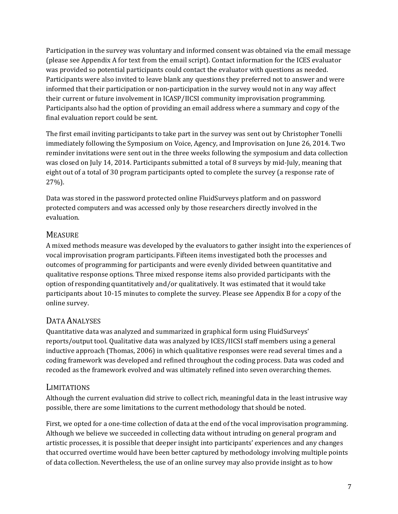Participation in the survey was voluntary and informed consent was obtained via the email message (please see Appendix A for text from the email script). Contact information for the ICES evaluator was provided so potential participants could contact the evaluator with questions as needed. Participants were also invited to leave blank any questions they preferred not to answer and were informed that their participation or non-participation in the survey would not in any way affect their current or future involvement in ICASP/IICSI community improvisation programming. Participants also had the option of providing an email address where a summary and copy of the final evaluation report could be sent.

The first email inviting participants to take part in the survey was sent out by Christopher Tonelli immediately following the Symposium on Voice, Agency, and Improvisation on June 26, 2014. Two reminder invitations were sent out in the three weeks following the symposium and data collection was closed on July 14, 2014. Participants submitted a total of 8 surveys by mid-July, meaning that eight out of a total of 30 program participants opted to complete the survey (a response rate of 27%).

Data was stored in the password protected online FluidSurveys platform and on password protected computers and was accessed only by those researchers directly involved in the evaluation.

### **MEASURE**

A mixed methods measure was developed by the evaluators to gather insight into the experiences of vocal improvisation program participants. Fifteen items investigated both the processes and outcomes of programming for participants and were evenly divided between quantitative and qualitative response options. Three mixed response items also provided participants with the option of responding quantitatively and/or qualitatively. It was estimated that it would take participants about 10‐15 minutes to complete the survey. Please see Appendix B for a copy of the online survey.

# DATA ANALYSES

Quantitative data was analyzed and summarized in graphical form using FluidSurveys' reports/output tool. Qualitative data was analyzed by ICES/IICSI staff members using a general inductive approach (Thomas, 2006) in which qualitative responses were read several times and a coding framework was developed and refined throughout the coding process. Data was coded and recoded as the framework evolved and was ultimately refined into seven overarching themes.

### LIMITATIONS

Although the current evaluation did strive to collect rich, meaningful data in the least intrusive way possible, there are some limitations to the current methodology that should be noted.

First, we opted for a one-time collection of data at the end of the vocal improvisation programming. Although we believe we succeeded in collecting data without intruding on general program and artistic processes, it is possible that deeper insight into participants' experiences and any changes that occurred overtime would have been better captured by methodology involving multiple points of data collection. Nevertheless, the use of an online survey may also provide insight as to how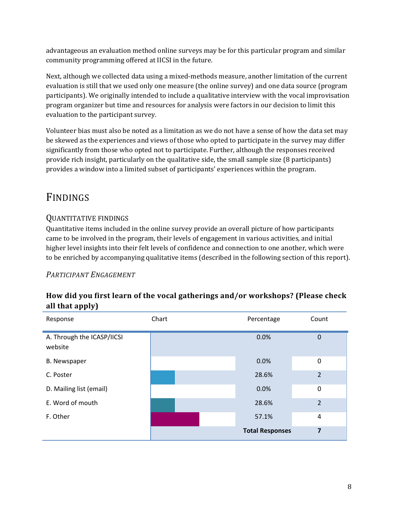advantageous an evaluation method online surveys may be for this particular program and similar community programming offered at IICSI in the future.

Next, although we collected data using a mixed‐methods measure, another limitation of the current evaluation is still that we used only one measure (the online survey) and one data source (program participants). We originally intended to include a qualitative interview with the vocal improvisation program organizer but time and resources for analysis were factors in our decision to limit this evaluation to the participant survey.

Volunteer bias must also be noted as a limitation as we do not have a sense of how the data set may be skewed as the experiences and views of those who opted to participate in the survey may differ significantly from those who opted not to participate. Further, although the responses received provide rich insight, particularly on the qualitative side, the small sample size (8 participants) provides a window into a limited subset of participants' experiences within the program.

# FINDINGS

# QUANTITATIVE FINDINGS

Quantitative items included in the online survey provide an overall picture of how participants came to be involved in the program, their levels of engagement in various activities, and initial higher level insights into their felt levels of confidence and connection to one another, which were to be enriched by accompanying qualitative items (described in the following section of this report).

### *PARTICIPANT ENGAGEMENT*

### **How did you first learn of the vocal gatherings and/or workshops? (Please check all that apply)**

| Response                              | Chart | Percentage             | Count          |
|---------------------------------------|-------|------------------------|----------------|
| A. Through the ICASP/IICSI<br>website |       | 0.0%                   | $\mathbf 0$    |
| <b>B.</b> Newspaper                   |       | 0.0%                   | 0              |
| C. Poster                             |       | 28.6%                  | $\overline{2}$ |
| D. Mailing list (email)               |       | 0.0%                   | $\pmb{0}$      |
| E. Word of mouth                      |       | 28.6%                  | $\overline{2}$ |
| F. Other                              |       | 57.1%                  | 4              |
|                                       |       | <b>Total Responses</b> | 7              |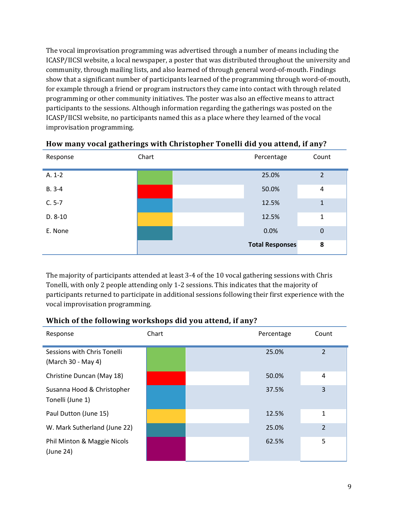The vocal improvisation programming was advertised through a number of means including the ICASP/IICSI website, a local newspaper, a poster that was distributed throughout the university and community, through mailing lists, and also learned of through general word‐of‐mouth. Findings show that a significant number of participants learned of the programming through word‐of‐mouth, for example through a friend or program instructors they came into contact with through related programming or other community initiatives. The poster was also an effective means to attract participants to the sessions. Although information regarding the gatherings was posted on the ICASP/IICSI website, no participants named this as a place where they learned of the vocal improvisation programming.

| Response  | Chart | Percentage             | Count          |
|-----------|-------|------------------------|----------------|
| $A. 1-2$  |       | 25.0%                  | $\overline{2}$ |
| $B. 3-4$  |       | 50.0%                  | 4              |
| $C. 5-7$  |       | 12.5%                  | 1              |
| $D. 8-10$ |       | 12.5%                  | 1              |
| E. None   |       | 0.0%                   | $\mathbf 0$    |
|           |       | <b>Total Responses</b> | 8              |

#### **How many vocal gatherings with Christopher Tonelli did you attend, if any?**

The majority of participants attended at least 3‐4 of the 10 vocal gathering sessions with Chris Tonelli, with only 2 people attending only 1‐2 sessions. This indicates that the majority of participants returned to participate in additional sessions following their first experience with the vocal improvisation programming.

#### **Which of the following workshops did you attend, if any?**

| Response                                          | Chart | Percentage | Count          |
|---------------------------------------------------|-------|------------|----------------|
| Sessions with Chris Tonelli<br>(March 30 - May 4) |       | 25.0%      | $\overline{2}$ |
| Christine Duncan (May 18)                         |       | 50.0%      | 4              |
| Susanna Hood & Christopher<br>Tonelli (June 1)    |       | 37.5%      | 3              |
| Paul Dutton (June 15)                             |       | 12.5%      | 1              |
| W. Mark Sutherland (June 22)                      |       | 25.0%      | $\overline{2}$ |
| Phil Minton & Maggie Nicols<br>(June 24)          |       | 62.5%      | 5              |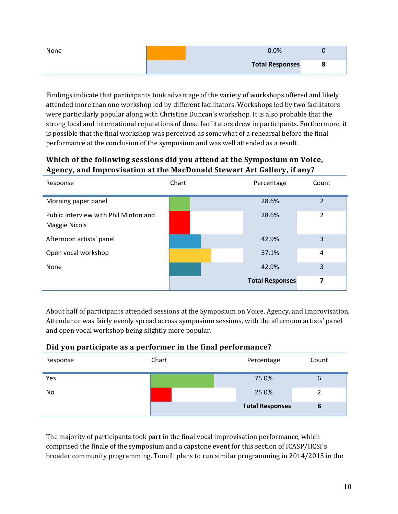| None | 0.0%                   |  |
|------|------------------------|--|
|      | <b>Total Responses</b> |  |

Findings indicate that participants took advantage of the variety of workshops offered and likely attended more than one workshop led by different facilitators. Workshops led by two facilitators were particularly popular along with Christine Duncan's workshop. It is also probable that the strong local and international reputations of these facilitators drew in participants. Furthermore, it is possible that the final workshop was perceived as somewhat of a rehearsal before the final performance at the conclusion of the symposium and was well attended as a result.

# **Which of the following sessions did you attend at the Symposium on Voice, Agency, and Improvisation at the MacDonald Stewart Art Gallery, if any?**

| Response                                                      | Chart | Percentage             | Count          |
|---------------------------------------------------------------|-------|------------------------|----------------|
| Morning paper panel                                           |       | 28.6%                  | $\overline{2}$ |
| Public interview with Phil Minton and<br><b>Maggie Nicols</b> |       | 28.6%                  | 2              |
| Afternoon artists' panel                                      |       | 42.9%                  | 3              |
| Open vocal workshop                                           |       | 57.1%                  | 4              |
| None                                                          |       | 42.9%                  | 3              |
|                                                               |       | <b>Total Responses</b> | 7              |

About half of participants attended sessions at the Symposium on Voice, Agency, and Improvisation. Attendance was fairly evenly spread across symposium sessions, with the afternoon artists' panel and open vocal workshop being slightly more popular.

| Did you participate as a performer in the final performance? |       |            |  |  |
|--------------------------------------------------------------|-------|------------|--|--|
| Resnonse                                                     | Chart | Percentage |  |  |

| Response | Chart | Percentage             | Count |
|----------|-------|------------------------|-------|
| Yes      |       | 75.0%                  | 6     |
| No       |       | 25.0%                  | 2     |
|          |       | <b>Total Responses</b> | 8     |

The majority of participants took part in the final vocal improvisation performance, which comprised the finale of the symposium and a capstone event for this section of ICASP/IICSI's broader community programming. Tonelli plans to run similar programming in 2014/2015 in the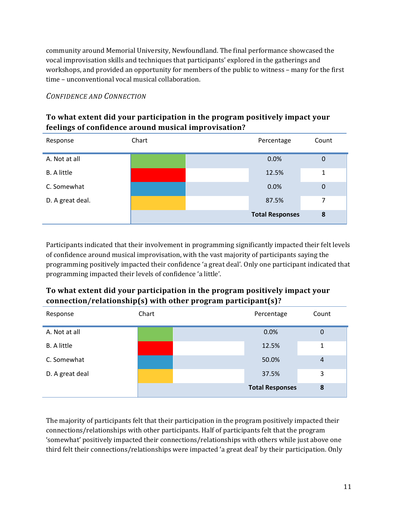community around Memorial University, Newfoundland. The final performance showcased the vocal improvisation skills and techniques that participants' explored in the gatherings and workshops, and provided an opportunity for members of the public to witness – many for the first time – unconventional vocal musical collaboration.

#### *CONFIDENCE AND CONNECTION*

### **To what extent did your participation in the program positively impact your feelings of confidence around musical improvisation?**

| Response           | Chart | Percentage             | Count       |
|--------------------|-------|------------------------|-------------|
| A. Not at all      |       | 0.0%                   | $\mathbf 0$ |
| <b>B.</b> A little |       | 12.5%                  | 1           |
| C. Somewhat        |       | 0.0%                   | $\mathbf 0$ |
| D. A great deal.   |       | 87.5%                  | 7           |
|                    |       | <b>Total Responses</b> | 8           |

Participants indicated that their involvement in programming significantly impacted their felt levels of confidence around musical improvisation, with the vast majority of participants saying the programming positively impacted their confidence 'a great deal'. Only one participant indicated that programming impacted their levels of confidence 'a little'.

# **To what extent did your participation in the program positively impact your connection/relationship(s) with other program participant(s)?**

| Response           | Chart | Percentage             | Count          |
|--------------------|-------|------------------------|----------------|
| A. Not at all      |       | 0.0%                   | 0              |
| <b>B.</b> A little |       | 12.5%                  | 1              |
| C. Somewhat        |       | 50.0%                  | $\overline{4}$ |
| D. A great deal    |       | 37.5%                  | 3              |
|                    |       | <b>Total Responses</b> | 8              |

The majority of participants felt that their participation in the program positively impacted their connections/relationships with other participants. Half of participants felt that the program 'somewhat' positively impacted their connections/relationships with others while just above one third felt their connections/relationships were impacted 'a great deal' by their participation. Only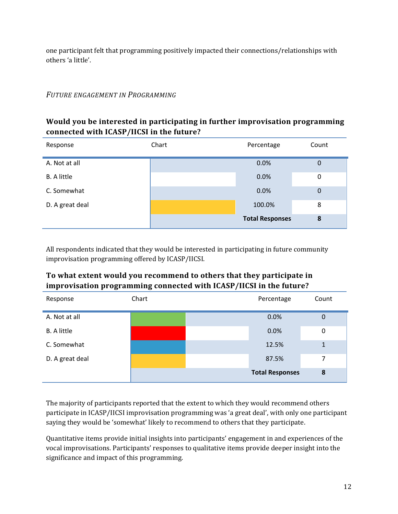one participant felt that programming positively impacted their connections/relationships with others 'a little'.

#### *FUTURE ENGAGEMENT IN PROGRAMMING*

#### **Would you be interested in participating in further improvisation programming connected with ICASP/IICSI in the future?**

| Response           | Chart | Percentage             | Count            |
|--------------------|-------|------------------------|------------------|
| A. Not at all      |       | 0.0%                   | $\boldsymbol{0}$ |
| <b>B.</b> A little |       | 0.0%                   | $\mathbf 0$      |
| C. Somewhat        |       | 0.0%                   | $\boldsymbol{0}$ |
| D. A great deal    |       | 100.0%                 | 8                |
|                    |       | <b>Total Responses</b> | 8                |

All respondents indicated that they would be interested in participating in future community improvisation programming offered by ICASP/IICSI.

### **To what extent would you recommend to others that they participate in improvisation programming connected with ICASP/IICSI in the future?**

| Response           | Chart | Percentage             | Count       |
|--------------------|-------|------------------------|-------------|
| A. Not at all      |       | 0.0%                   | $\mathbf 0$ |
| <b>B.</b> A little |       | 0.0%                   | 0           |
| C. Somewhat        |       | 12.5%                  |             |
| D. A great deal    |       | 87.5%                  | 7           |
|                    |       | <b>Total Responses</b> | 8           |

The majority of participants reported that the extent to which they would recommend others participate in ICASP/IICSI improvisation programming was 'a great deal', with only one participant saying they would be 'somewhat' likely to recommend to others that they participate.

Quantitative items provide initial insights into participants' engagement in and experiences of the vocal improvisations. Participants' responses to qualitative items provide deeper insight into the significance and impact of this programming.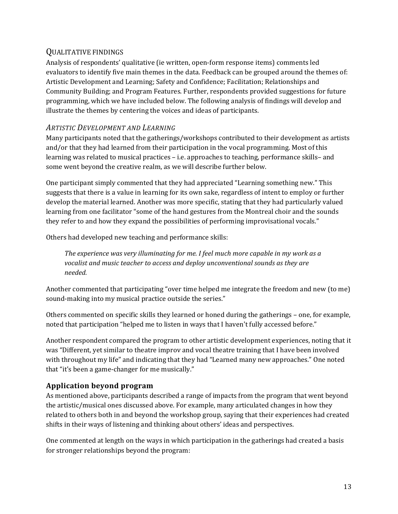#### QUALITATIVE FINDINGS

Analysis of respondents' qualitative (ie written, open‐form response items) comments led evaluators to identify five main themes in the data. Feedback can be grouped around the themes of: Artistic Development and Learning; Safety and Confidence; Facilitation; Relationships and Community Building; and Program Features. Further, respondents provided suggestions for future programming, which we have included below. The following analysis of findings will develop and illustrate the themes by centering the voices and ideas of participants.

#### *ARTISTIC DEVELOPMENT AND LEARNING*

Many participants noted that the gatherings/workshops contributed to their development as artists and/or that they had learned from their participation in the vocal programming. Most of this learning was related to musical practices – i.e. approaches to teaching, performance skills– and some went beyond the creative realm, as we will describe further below.

One participant simply commented that they had appreciated "Learning something new." This suggests that there is a value in learning for its own sake, regardless of intent to employ or further develop the material learned. Another was more specific, stating that they had particularly valued learning from one facilitator "some of the hand gestures from the Montreal choir and the sounds they refer to and how they expand the possibilities of performing improvisational vocals."

Others had developed new teaching and performance skills:

*The experience was very illuminating for me. I feel much more capable in my work as a vocalist and music teacher to access and deploy unconventional sounds as they are needed.* 

Another commented that participating "over time helped me integrate the freedom and new (to me) sound-making into my musical practice outside the series."

Others commented on specific skills they learned or honed during the gatherings – one, for example, noted that participation "helped me to listen in ways that I haven't fully accessed before."

Another respondent compared the program to other artistic development experiences, noting that it was "Different, yet similar to theatre improv and vocal theatre training that I have been involved with throughout my life" and indicating that they had "Learned many new approaches." One noted that "it's been a game‐changer for me musically."

#### **Application beyond program**

As mentioned above, participants described a range of impacts from the program that went beyond the artistic/musical ones discussed above. For example, many articulated changes in how they related to others both in and beyond the workshop group, saying that their experiences had created shifts in their ways of listening and thinking about others' ideas and perspectives.

One commented at length on the ways in which participation in the gatherings had created a basis for stronger relationships beyond the program: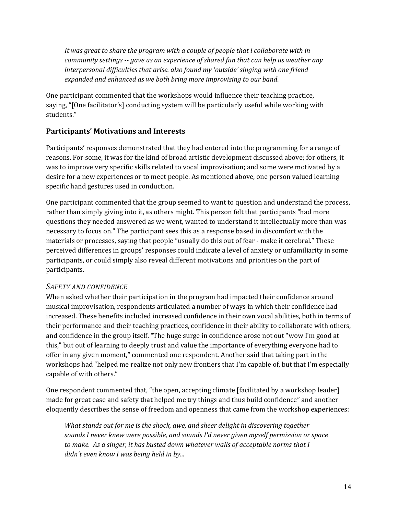*It was great to share the program with a couple of people that i collaborate with in community settings ‐‐ gave us an experience of shared fun that can help us weather any interpersonal difficulties that arise. also found my 'outside' singing with one friend expanded and enhanced as we both bring more improvising to our band*.

One participant commented that the workshops would influence their teaching practice, saying, "[One facilitator's] conducting system will be particularly useful while working with students."

#### **Participants' Motivations and Interests**

Participants' responses demonstrated that they had entered into the programming for a range of reasons. For some, it was for the kind of broad artistic development discussed above; for others, it was to improve very specific skills related to vocal improvisation; and some were motivated by a desire for a new experiences or to meet people. As mentioned above, one person valued learning specific hand gestures used in conduction.

One participant commented that the group seemed to want to question and understand the process, rather than simply giving into it, as others might. This person felt that participants "had more questions they needed answered as we went, wanted to understand it intellectually more than was necessary to focus on." The participant sees this as a response based in discomfort with the materials or processes, saying that people "usually do this out of fear ‐ make it cerebral." These perceived differences in groups' responses could indicate a level of anxiety or unfamiliarity in some participants, or could simply also reveal different motivations and priorities on the part of participants.

#### *SAFETY AND CONFIDENCE*

When asked whether their participation in the program had impacted their confidence around musical improvisation, respondents articulated a number of ways in which their confidence had increased. These benefits included increased confidence in their own vocal abilities, both in terms of their performance and their teaching practices, confidence in their ability to collaborate with others, and confidence in the group itself. "The huge surge in confidence arose not out "wow I'm good at this," but out of learning to deeply trust and value the importance of everything everyone had to offer in any given moment," commented one respondent. Another said that taking part in the workshops had "helped me realize not only new frontiers that I'm capable of, but that I'm especially capable of with others."

One respondent commented that, "the open, accepting climate [facilitated by a workshop leader] made for great ease and safety that helped me try things and thus build confidence" and another eloquently describes the sense of freedom and openness that came from the workshop experiences:

*What stands out for me is the shock, awe, and sheer delight in discovering together sounds I never knew were possible, and sounds I'd never given myself permission or space to make. As a singer, it has busted down whatever walls of acceptable norms that I didn't even know I was being held in by...*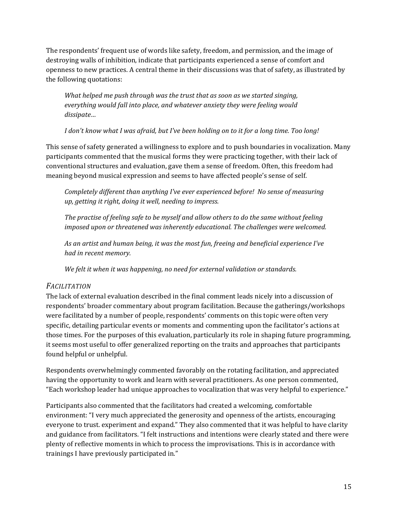The respondents' frequent use of words like safety, freedom, and permission, and the image of destroying walls of inhibition, indicate that participants experienced a sense of comfort and openness to new practices. A central theme in their discussions was that of safety, as illustrated by the following quotations:

*What helped me push through was the trust that as soon as we started singing, everything would fall into place, and whatever anxiety they were feeling would dissipate…*

I don't know what I was afraid, but I've been holding on to it for a long time. Too long!

This sense of safety generated a willingness to explore and to push boundaries in vocalization. Many participants commented that the musical forms they were practicing together, with their lack of conventional structures and evaluation, gave them a sense of freedom. Often, this freedom had meaning beyond musical expression and seems to have affected people's sense of self.

*Completely different than anything I've ever experienced before! No sense of measuring up, getting it right, doing it well, needing to impress.*

*The practise of feeling safe to be myself and allow others to do the same without feeling imposed upon or threatened was inherently educational. The challenges were welcomed.*

*As an artist and human being, it was the most fun, freeing and beneficial experience I've had in recent memory.*

*We felt it when it was happening, no need for external validation or standards.*

#### *FACILITATION*

The lack of external evaluation described in the final comment leads nicely into a discussion of respondents' broader commentary about program facilitation. Because the gatherings/workshops were facilitated by a number of people, respondents' comments on this topic were often very specific, detailing particular events or moments and commenting upon the facilitator's actions at those times. For the purposes of this evaluation, particularly its role in shaping future programming, it seems most useful to offer generalized reporting on the traits and approaches that participants found helpful or unhelpful.

Respondents overwhelmingly commented favorably on the rotating facilitation, and appreciated having the opportunity to work and learn with several practitioners. As one person commented, "Each workshop leader had unique approaches to vocalization that was very helpful to experience."

Participants also commented that the facilitators had created a welcoming, comfortable environment: "I very much appreciated the generosity and openness of the artists, encouraging everyone to trust. experiment and expand." They also commented that it was helpful to have clarity and guidance from facilitators. "I felt instructions and intentions were clearly stated and there were plenty of reflective moments in which to process the improvisations. This is in accordance with trainings I have previously participated in."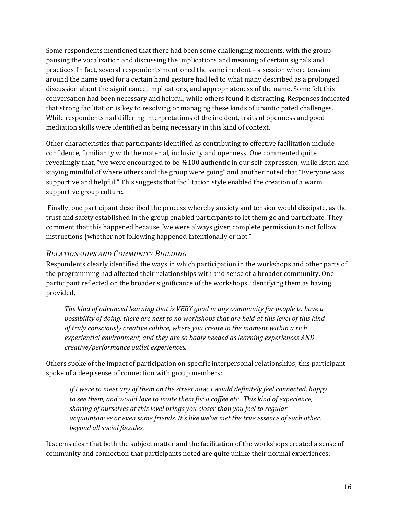Some respondents mentioned that there had been some challenging moments, with the group pausing the vocalization and discussing the implications and meaning of certain signals and practices. In fact, several respondents mentioned the same incident – a session where tension around the name used for a certain hand gesture had led to what many described as a prolonged discussion about the significance, implications, and appropriateness of the name. Some felt this conversation had been necessary and helpful, while others found it distracting. Responses indicated that strong facilitation is key to resolving or managing these kinds of unanticipated challenges. While respondents had differing interpretations of the incident, traits of openness and good mediation skills were identified as being necessary in this kind of context.

Other characteristics that participants identified as contributing to effective facilitation include confidence, familiarity with the material, inclusivity and openness. One commented quite revealingly that, "we were encouraged to be %100 authentic in our self-expression, while listen and staying mindful of where others and the group were going" and another noted that "Everyone was supportive and helpful." This suggests that facilitation style enabled the creation of a warm, supportive group culture.

 Finally, one participant described the process whereby anxiety and tension would dissipate, as the trust and safety established in the group enabled participants to let them go and participate. They comment that this happened because "we were always given complete permission to not follow instructions (whether not following happened intentionally or not."

#### *RELATIONSHIPS AND COMMUNITY BUILDING*

Respondents clearly identified the ways in which participation in the workshops and other parts of the programming had affected their relationships with and sense of a broader community. One participant reflected on the broader significance of the workshops, identifying them as having provided,

*The kind of advanced learning that is VERY good in any community for people to have a possibility of doing, there are next to no workshops that are held at this level of this kind of truly consciously creative calibre, where you create in the moment within a rich experiential environment, and they are so badly needed as learning experiences AND creative/performance outlet experiences.*

Others spoke of the impact of participation on specific interpersonal relationships; this participant spoke of a deep sense of connection with group members:

*If I were to meet any of them on the street now, I would definitely feel connected, happy to see them, and would love to invite them for a coffee etc. This kind of experience, sharing of ourselves at this level brings you closer than you feel to regular acquaintances or even some friends. It's like we've met the true essence of each other, beyond all social facades.*

It seems clear that both the subject matter and the facilitation of the workshops created a sense of community and connection that participants noted are quite unlike their normal experiences: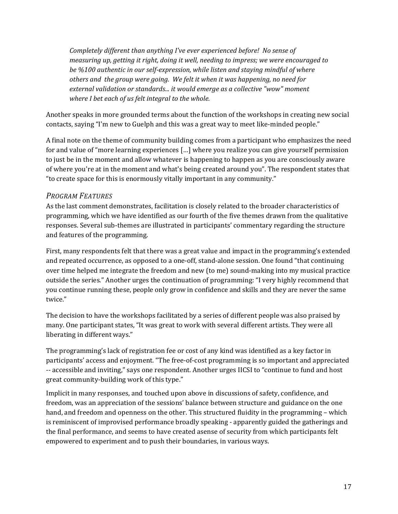*Completely different than anything I've ever experienced before! No sense of measuring up, getting it right, doing it well, needing to impress; we were encouraged to be %100 authentic in our self‐expression, while listen and staying mindful of where others and the group were going. We felt it when it was happening, no need for external validation or standards... it would emerge as a collective "wow" moment where I bet each of us felt integral to the whole.* 

Another speaks in more grounded terms about the function of the workshops in creating new social contacts, saying "I'm new to Guelph and this was a great way to meet like-minded people."

A final note on the theme of community building comes from a participant who emphasizes the need for and value of "more learning experiences […] where you realize you can give yourself permission to just be in the moment and allow whatever is happening to happen as you are consciously aware of where you're at in the moment and what's being created around you". The respondent states that "to create space for this is enormously vitally important in any community."

#### *PROGRAM FEATURES*

As the last comment demonstrates, facilitation is closely related to the broader characteristics of programming, which we have identified as our fourth of the five themes drawn from the qualitative responses. Several sub-themes are illustrated in participants' commentary regarding the structure and features of the programming.

First, many respondents felt that there was a great value and impact in the programming's extended and repeated occurrence, as opposed to a one‐off, stand‐alone session. One found "that continuing over time helped me integrate the freedom and new (to me) sound‐making into my musical practice outside the series." Another urges the continuation of programming: "I very highly recommend that you continue running these, people only grow in confidence and skills and they are never the same twice."

The decision to have the workshops facilitated by a series of different people was also praised by many. One participant states, "It was great to work with several different artists. They were all liberating in different ways."

The programming's lack of registration fee or cost of any kind was identified as a key factor in participants' access and enjoyment. "The free‐of‐cost programming is so important and appreciated ‐‐ accessible and inviting," says one respondent. Another urges IICSI to "continue to fund and host great community‐building work of this type."

Implicit in many responses, and touched upon above in discussions of safety, confidence, and freedom, was an appreciation of the sessions' balance between structure and guidance on the one hand, and freedom and openness on the other. This structured fluidity in the programming – which is reminiscent of improvised performance broadly speaking ‐ apparently guided the gatherings and the final performance, and seems to have created asense of security from which participants felt empowered to experiment and to push their boundaries, in various ways.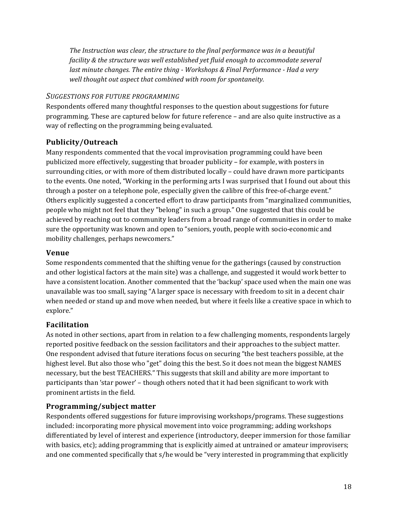*The Instruction was clear, the structure to the final performance was in a beautiful facility & the structure was well established yet fluid enough to accommodate several last minute changes. The entire thing ‐ Workshops & Final Performance ‐ Had a very well thought out aspect that combined with room for spontaneity.*

#### *SUGGESTIONS FOR FUTURE PROGRAMMING*

Respondents offered many thoughtful responses to the question about suggestions for future programming. These are captured below for future reference – and are also quite instructive as a way of reflecting on the programming being evaluated.

### **Publicity/Outreach**

Many respondents commented that the vocal improvisation programming could have been publicized more effectively, suggesting that broader publicity – for example, with posters in surrounding cities, or with more of them distributed locally – could have drawn more participants to the events. One noted, "Working in the performing arts I was surprised that I found out about this through a poster on a telephone pole, especially given the calibre of this free-of-charge event." Others explicitly suggested a concerted effort to draw participants from "marginalized communities, people who might not feel that they "belong" in such a group." One suggested that this could be achieved by reaching out to community leaders from a broad range of communities in order to make sure the opportunity was known and open to "seniors, youth, people with socio-economic and mobility challenges, perhaps newcomers."

#### **Venue**

Some respondents commented that the shifting venue for the gatherings (caused by construction and other logistical factors at the main site) was a challenge, and suggested it would work better to have a consistent location. Another commented that the 'backup' space used when the main one was unavailable was too small, saying "A larger space is necessary with freedom to sit in a decent chair when needed or stand up and move when needed, but where it feels like a creative space in which to explore."

#### **Facilitation**

As noted in other sections, apart from in relation to a few challenging moments, respondents largely reported positive feedback on the session facilitators and their approaches to the subject matter. One respondent advised that future iterations focus on securing "the best teachers possible, at the highest level. But also those who "get" doing this the best. So it does not mean the biggest NAMES necessary, but the best TEACHERS." This suggests that skill and ability are more important to participants than 'star power' – though others noted that it had been significant to work with prominent artists in the field.

#### **Programming/subject matter**

Respondents offered suggestions for future improvising workshops/programs. These suggestions included: incorporating more physical movement into voice programming; adding workshops differentiated by level of interest and experience (introductory, deeper immersion for those familiar with basics, etc); adding programming that is explicitly aimed at untrained or amateur improvisers; and one commented specifically that s/he would be "very interested in programming that explicitly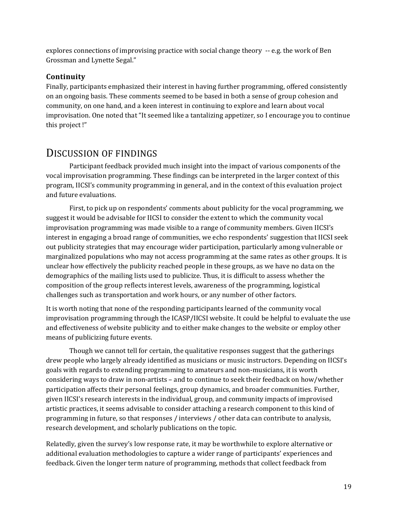explores connections of improvising practice with social change theory ‐‐ e.g. the work of Ben Grossman and Lynette Segal."

#### **Continuity**

Finally, participants emphasized their interest in having further programming, offered consistently on an ongoing basis. These comments seemed to be based in both a sense of group cohesion and community, on one hand, and a keen interest in continuing to explore and learn about vocal improvisation. One noted that "It seemed like a tantalizing appetizer, so I encourage you to continue this project !"

# DISCUSSION OF FINDINGS

Participant feedback provided much insight into the impact of various components of the vocal improvisation programming. These findings can be interpreted in the larger context of this program, IICSI's community programming in general, and in the context of this evaluation project and future evaluations.

First, to pick up on respondents' comments about publicity for the vocal programming, we suggest it would be advisable for IICSI to consider the extent to which the community vocal improvisation programming was made visible to a range of community members. Given IICSI's interest in engaging a broad range of communities, we echo respondents' suggestion that IICSI seek out publicity strategies that may encourage wider participation, particularly among vulnerable or marginalized populations who may not access programming at the same rates as other groups. It is unclear how effectively the publicity reached people in these groups, as we have no data on the demographics of the mailing lists used to publicize. Thus, it is difficult to assess whether the composition of the group reflects interest levels, awareness of the programming, logistical challenges such as transportation and work hours, or any number of other factors.

It is worth noting that none of the responding participants learned of the community vocal improvisation programming through the ICASP/IICSI website. It could be helpful to evaluate the use and effectiveness of website publicity and to either make changes to the website or employ other means of publicizing future events.

Though we cannot tell for certain, the qualitative responses suggest that the gatherings drew people who largely already identified as musicians or music instructors. Depending on IICSI's goals with regards to extending programming to amateurs and non‐musicians, it is worth considering ways to draw in non‐artists – and to continue to seek their feedback on how/whether participation affects their personal feelings, group dynamics, and broader communities. Further, given IICSI's research interests in the individual, group, and community impacts of improvised artistic practices, it seems advisable to consider attaching a research component to this kind of programming in future, so that responses / interviews / other data can contribute to analysis, research development, and scholarly publications on the topic.

Relatedly, given the survey's low response rate, it may be worthwhile to explore alternative or additional evaluation methodologies to capture a wider range of participants' experiences and feedback. Given the longer term nature of programming, methods that collect feedback from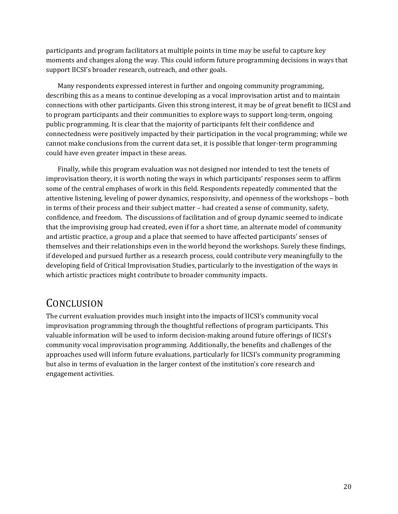participants and program facilitators at multiple points in time may be useful to capture key moments and changes along the way. This could inform future programming decisions in ways that support IICSI's broader research, outreach, and other goals.

Many respondents expressed interest in further and ongoing community programming, describing this as a means to continue developing as a vocal improvisation artist and to maintain connections with other participants. Given this strong interest, it may be of great benefit to IICSI and to program participants and their communities to explore ways to support long-term, ongoing public programming. It is clear that the majority of participants felt their confidence and connectedness were positively impacted by their participation in the vocal programming; while we cannot make conclusions from the current data set, it is possible that longer‐term programming could have even greater impact in these areas.

Finally, while this program evaluation was not designed nor intended to test the tenets of improvisation theory, it is worth noting the ways in which participants' responses seem to affirm some of the central emphases of work in this field. Respondents repeatedly commented that the attentive listening, leveling of power dynamics, responsivity, and openness of the workshops – both in terms of their process and their subject matter – had created a sense of community, safety, confidence, and freedom. The discussions of facilitation and of group dynamic seemed to indicate that the improvising group had created, even if for a short time, an alternate model of community and artistic practice, a group and a place that seemed to have affected participants' senses of themselves and their relationships even in the world beyond the workshops. Surely these findings, if developed and pursued further as a research process, could contribute very meaningfully to the developing field of Critical Improvisation Studies, particularly to the investigation of the ways in which artistic practices might contribute to broader community impacts.

# **CONCLUSION**

The current evaluation provides much insight into the impacts of IICSI's community vocal improvisation programming through the thoughtful reflections of program participants. This valuable information will be used to inform decision‐making around future offerings of IICSI's community vocal improvisation programming. Additionally, the benefits and challenges of the approaches used will inform future evaluations, particularly for IICSI's community programming but also in terms of evaluation in the larger context of the institution's core research and engagement activities.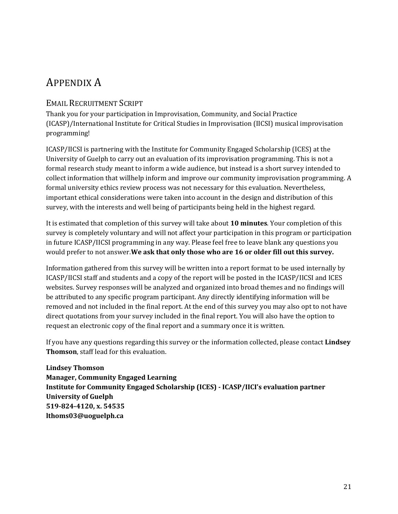# APPENDIX A

#### EMAIL RECRUITMENT SCRIPT

Thank you for your participation in Improvisation, Community, and Social Practice (ICASP)/International Institute for Critical Studies in Improvisation (IICSI) musical improvisation programming!

ICASP/IICSI is partnering with the Institute for Community Engaged Scholarship (ICES) at the University of Guelph to carry out an evaluation of its improvisation programming. This is not a formal research study meant to inform a wide audience, but instead is a short survey intended to collect information that willhelp inform and improve our community improvisation programming. A formal university ethics review process was not necessary for this evaluation. Nevertheless, important ethical considerations were taken into account in the design and distribution of this survey, with the interests and well being of participants being held in the highest regard.

It is estimated that completion of this survey will take about **10 minutes**. Your completion of this survey is completely voluntary and will not affect your participation in this program or participation in future ICASP/IICSI programming in any way. Please feel free to leave blank any questions you would prefer to not answer.**We ask that only those who are 16 or older fill out this survey.**

Information gathered from this survey will be written into a report format to be used internally by ICASP/IICSI staff and students and a copy of the report will be posted in the ICASP/IICSI and ICES websites. Survey responses will be analyzed and organized into broad themes and no findings will be attributed to any specific program participant. Any directly identifying information will be removed and not included in the final report. At the end of this survey you may also opt to not have direct quotations from your survey included in the final report. You will also have the option to request an electronic copy of the final report and a summary once it is written.

If you have any questions regarding this survey or the information collected, please contact **Lindsey Thomson**, staff lead for this evaluation.

**Lindsey Thomson Manager, Community Engaged Learning Institute for Community Engaged Scholarship (ICES) ‐ ICASP/IICI's evaluation partner University of Guelph 519‐824‐4120, x. 54535 lthoms03@uoguelph.ca**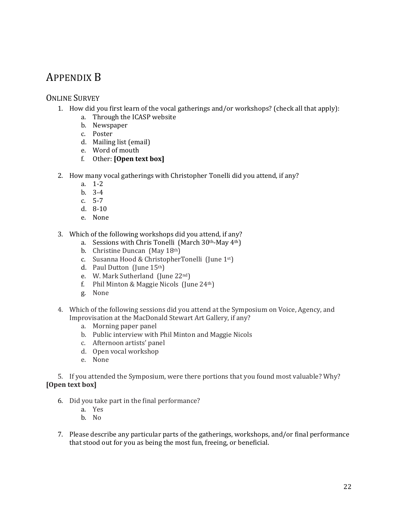# APPENDIX B

#### ONLINE SURVEY

- 1. How did you first learn of the vocal gatherings and/or workshops? (check all that apply):
	- a. Through the ICASP website
	- b. Newspaper
	- c. Poster
	- d. Mailing list (email)
	- e. Word of mouth
	- f. Other: **[Open text box]**
- 2. How many vocal gatherings with Christopher Tonelli did you attend, if any?
	- a. 1‐2
	- b. 3‐4
	- c. 5‐7
	- d. 8‐10
	- e. None

3. Which of the following workshops did you attend, if any?

- a. Sessions with Chris Tonelli (March 30th‐May 4th)
- b. Christine Duncan (May 18th)
- c. Susanna Hood & ChristopherTonelli (June 1st)
- d. Paul Dutton (June 15th)
- e. W. Mark Sutherland (June 22nd)
- f. Phil Minton & Maggie Nicols  $\left(\frac{\text{June } 24\text{th}}{\text{The } 24\text{th}}\right)$
- g. None
- 4. Which of the following sessions did you attend at the Symposium on Voice, Agency, and Improvisation at the MacDonald Stewart Art Gallery, if any?
	- a. Morning paper panel
	- b. Public interview with Phil Minton and Maggie Nicols
	- c. Afternoon artists' panel
	- d. Open vocal workshop
	- e. None

5. If you attended the Symposium, were there portions that you found most valuable? Why? **[Open text box]**

- 6. Did you take part in the final performance?
	- a. Yes
	- b. No
- 7. Please describe any particular parts of the gatherings, workshops, and/or final performance that stood out for you as being the most fun, freeing, or beneficial.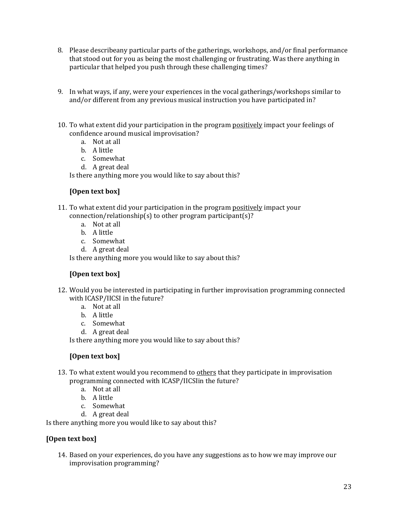- 8. Please describeany particular parts of the gatherings, workshops, and/or final performance that stood out for you as being the most challenging or frustrating. Was there anything in particular that helped you push through these challenging times?
- 9. In what ways, if any, were your experiences in the vocal gatherings/workshops similar to and/or different from any previous musical instruction you have participated in?
- 10. To what extent did your participation in the program positively impact your feelings of confidence around musical improvisation?
	- a. Not at all
	- b. A little
	- c. Somewhat
	- d. A great deal

Is there anything more you would like to say about this?

#### **[Open text box]**

- 11. To what extent did your participation in the program positively impact your connection/relationship(s) to other program participant(s)?
	- a. Not at all
	- b. A little
	- c. Somewhat
	- d. A great deal

Is there anything more you would like to say about this?

#### **[Open text box]**

- 12. Would you be interested in participating in further improvisation programming connected with ICASP/IICSI in the future?
	- a. Not at all
	- b. A little
	- c. Somewhat
	- d. A great deal

Is there anything more you would like to say about this?

#### **[Open text box]**

- 13. To what extent would you recommend to others that they participate in improvisation programming connected with ICASP/IICSIin the future?
	- a. Not at all
	- b. A little
	- c. Somewhat
	- d. A great deal

Is there anything more you would like to say about this?

#### **[Open text box]**

14. Based on your experiences, do you have any suggestions as to how we may improve our improvisation programming?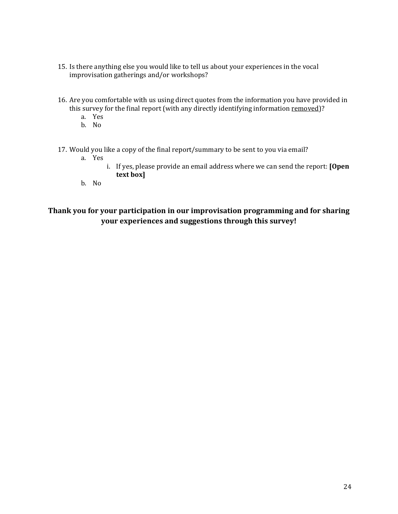- 15. Is there anything else you would like to tell us about your experiences in the vocal improvisation gatherings and/or workshops?
- 16. Are you comfortable with us using direct quotes from the information you have provided in this survey for the final report (with any directly identifying information removed)?
	- a. Yes
	- b. No
- 17. Would you like a copy of the final report/summary to be sent to you via email?
	- a. Yes
		- i. If yes, please provide an email address where we can send the report: **[Open text box]**
	- b. No

### **Thank you for your participation in our improvisation programming and for sharing your experiences and suggestions through this survey!**